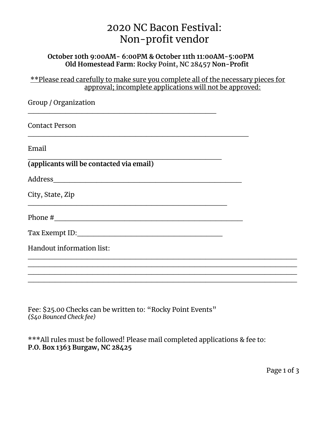## 2020 NC Bacon Festival: Non-profit vendor

## **October 10th 9:00AM- 6:00PM & October 11th 11:00AM-5:00PM Old Homestead Farm: Rocky Point, NC 28457 Non-Profit**

\*\*Please read carefully to make sure you complete all of the necessary pieces for approval; incomplete applications will not be approved:

| Group / Organization                     |  |
|------------------------------------------|--|
| Contact Person                           |  |
| Email                                    |  |
| (applicants will be contacted via email) |  |
|                                          |  |
| City, State, Zip                         |  |
|                                          |  |
|                                          |  |
| Handout information list:                |  |
|                                          |  |
|                                          |  |

Fee: \$25.00 Checks can be written to: "Rocky Point Events" *(\$40 Bounced Check fee)*

\*\*\*All rules must be followed! Please mail completed applications & fee to: **P.O. Box 1363 Burgaw, NC 28425**

\_\_\_\_\_\_\_\_\_\_\_\_\_\_\_\_\_\_\_\_\_\_\_\_\_\_\_\_\_\_\_\_\_\_\_\_\_\_\_\_\_\_\_\_\_\_\_\_\_\_

Page 1 of 3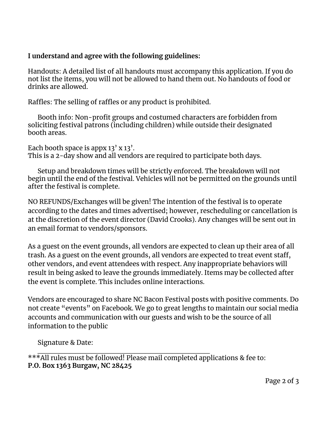## **I understand and agree with the following guidelines:**

Handouts: A detailed list of all handouts must accompany this application. If you do not list the items, you will not be allowed to hand them out. No handouts of food or drinks are allowed.

Raffles: The selling of raffles or any product is prohibited.

Booth info: Non-profit groups and costumed characters are forbidden from soliciting festival patrons (including children) while outside their designated booth areas.

Each booth space is appx  $13'$  x  $13'$ . This is a 2-day show and all vendors are required to participate both days.

Setup and breakdown times will be strictly enforced. The breakdown will not begin until the end of the festival. Vehicles will not be permitted on the grounds until after the festival is complete.

NO REFUNDS/Exchanges will be given! The intention of the festival is to operate according to the dates and times advertised; however, rescheduling or cancellation is at the discretion of the event director (David Crooks). Any changes will be sent out in an email format to vendors/sponsors.

As a guest on the event grounds, all vendors are expected to clean up their area of all trash. As a guest on the event grounds, all vendors are expected to treat event staff, other vendors, and event attendees with respect. Any inappropriate behaviors will result in being asked to leave the grounds immediately. Items may be collected after the event is complete. This includes online interactions.

Vendors are encouraged to share NC Bacon Festival posts with positive comments. Do not create "events" on Facebook. We go to great lengths to maintain our social media accounts and communication with our guests and wish to be the source of all information to the public

Signature & Date:

 $\_$ \*\*\*All rules must be followed! Please mail completed applications & fee to: **P.O. Box 1363 Burgaw, NC 28425**